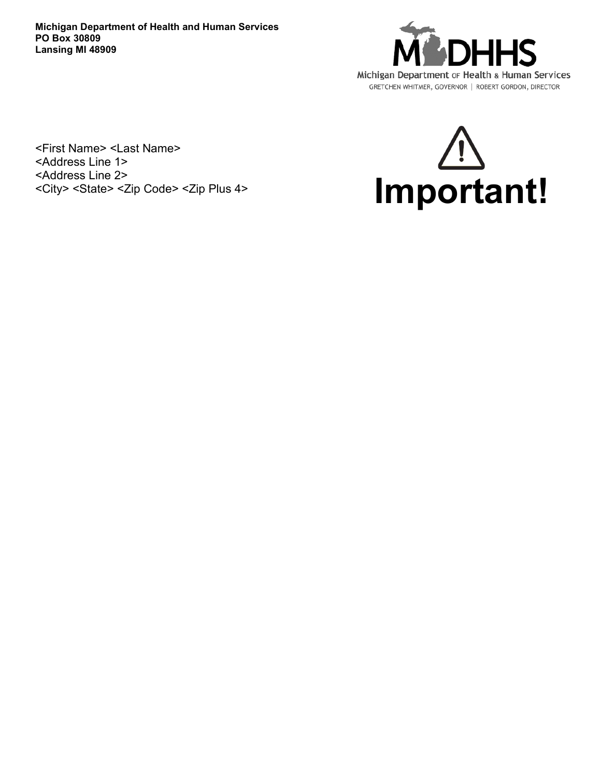**Michigan Department of Health and Human Services PO Box 30809 Lansing MI 48909**



<First Name> <Last Name> <Address Line 1> <Address Line 2>

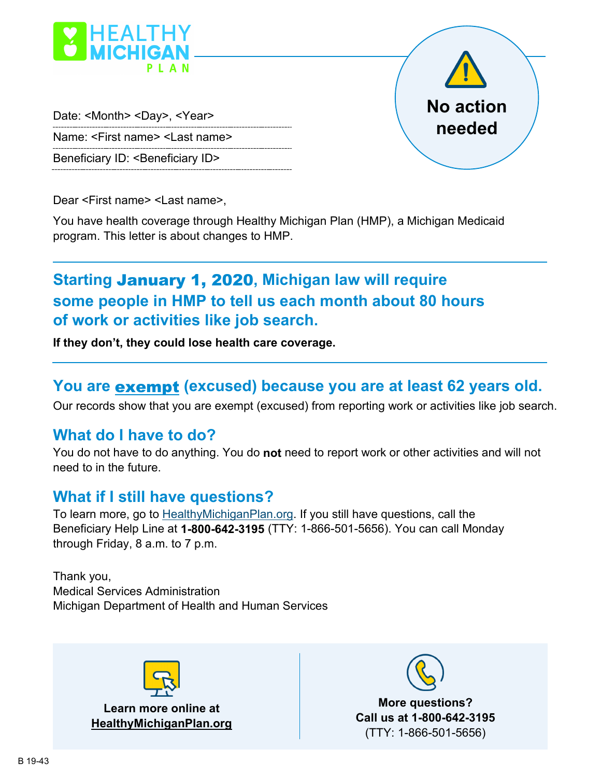

Date: <Month> <Day>, <Year> Name: <First name> <Last name> Beneficiary ID: <Beneficiary ID>

**No action needed**

Dear <First name> <Last name>,

You have health coverage through Healthy Michigan Plan (HMP), a Michigan Medicaid program. This letter is about changes to HMP.

# **Starting** January 1, 2020**, Michigan law will require some people in HMP to tell us each month about 80 hours of work or activities like job search.**

**If they don't, they could lose health care coverage.**

## **You are** exempt **(excused) because you are at least 62 years old.**

Our records show that you are exempt (excused) from reporting work or activities like job search.

## **What do I have to do?**

You do not have to do anything. You do **not** need to report work or other activities and will not need to in the future.

## **What if I still have questions?**

To learn more, go to HealthyMichiganPlan.org. If you still have questions, call the Beneficiary Help Line at **1-800-642-3195** (TTY: 1-866-501-5656). You can call Monday through Friday, 8 a.m. to 7 p.m.

Thank you, Medical Services Administration Michigan Department of Health and Human Services



**Learn more online at HealthyMichiganPlan.org**



**More questions? Call us at 1-800-642-3195** (TTY: 1-866-501-5656)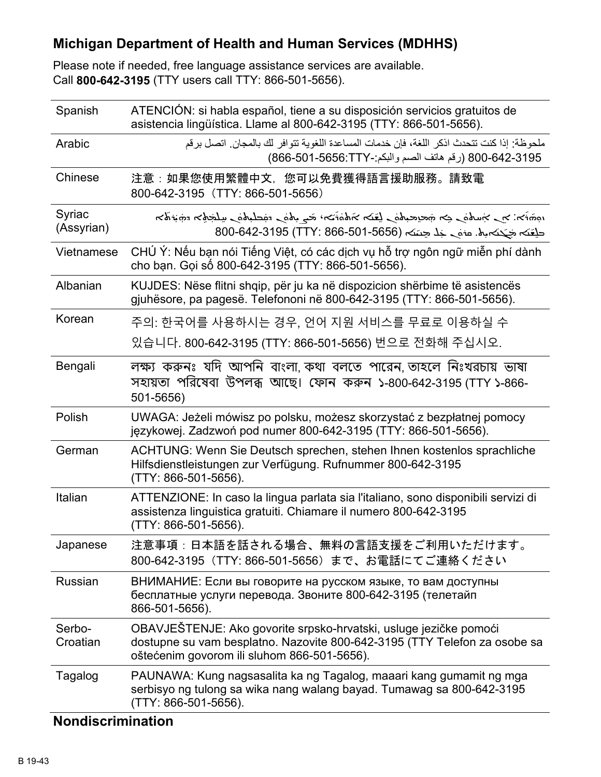## **Michigan Department of Health and Human Services (MDHHS)**

Please note if needed, free language assistance services are available. Call **800-642-3195** (TTY users call TTY: 866-501-5656).

| Spanish              | ATENCIÓN: si habla español, tiene a su disposición servicios gratuitos de<br>asistencia lingüística. Llame al 800-642-3195 (TTY: 866-501-5656).                                                      |
|----------------------|------------------------------------------------------------------------------------------------------------------------------------------------------------------------------------------------------|
| Arabic               | ملحوظة· إذا كنت تتحدث اذكر اللغة، فإن خدمات المساعدة اللغوية تتوافر لك بالمجان. اتصل برقم<br>800-642-3195 (رقم هاتف الصم والبكم:-866-501-666-7)                                                      |
| Chinese              | 注意:如果您使用繁體中文,您可以免費獲得語言援助服務。請致電<br>800-642-3195 (TTY: 866-501-5656)                                                                                                                                   |
| Syriac<br>(Assyrian) | הלהוֹחָה הלַשְׁלָש כַמֹּאֲלָשֶׁה כַמֹּא הָבֹ יִהֹוֹמֹאה הֹעֲבֵל כִמֹּא הָשְׁבֵא הָחָ הַמְהֹא הָא הַמֹּא הַמְּל<br>حلِفَکہ جَبْکہ بِھْ. مَوْمِي جَلِّا حِتَیْکہ (1-565-501-866-642-3195 (TTY: 866-501 |
| Vietnamese           | CHÚ Ý: Nếu bạn nói Tiếng Việt, có các dịch vụ hỗ trợ ngôn ngữ miễn phí dành<br>cho bạn. Gọi số 800-642-3195 (TTY: 866-501-5656).                                                                     |
| Albanian             | KUJDES: Nëse flitni shqip, për ju ka në dispozicion shërbime të asistencës<br>gjuhësore, pa pagesë. Telefononi në 800-642-3195 (TTY: 866-501-5656).                                                  |
| Korean               | 주의: 한국어를 사용하시는 경우, 언어 지원 서비스를 무료로 이용하실 수                                                                                                                                                             |
|                      | 있습니다. 800-642-3195 (TTY: 866-501-5656) 번으로 전화해 주십시오.                                                                                                                                                 |
| Bengali              | লক্ষ্য করুনঃ যদি আপনি বাংলা কথা বলতে পারেন তাহলে নিঃখরচায় ভাষা<br>সহায়তা পরিষেবা উপলব্ধ আছে। ফোন করুন ১-800-642-3195 (TTY ১-866-<br>501-5656)                                                      |
| Polish               | UWAGA: Jeżeli mówisz po polsku, możesz skorzystać z bezpłatnej pomocy<br>językowej. Zadzwoń pod numer 800-642-3195 (TTY: 866-501-5656).                                                              |
| German               | ACHTUNG: Wenn Sie Deutsch sprechen, stehen Ihnen kostenlos sprachliche<br>Hilfsdienstleistungen zur Verfügung. Rufnummer 800-642-3195<br>(TTY: 866-501-5656).                                        |
| Italian              | ATTENZIONE: In caso la lingua parlata sia l'italiano, sono disponibili servizi di<br>assistenza linguistica gratuiti. Chiamare il numero 800-642-3195<br>(TTY: 866-501-5656).                        |
| Japanese             | 注意事項:日本語を話される場合、無料の言語支援をご利用いただけます。<br>800-642-3195 (TTY: 866-501-5656) まで、お電話にてご連絡ください                                                                                                               |
| Russian              | ВНИМАНИЕ: Если вы говорите на русском языке, то вам доступны<br>бесплатные услуги перевода. Звоните 800-642-3195 (телетайп<br>866-501-5656).                                                         |
| Serbo-<br>Croatian   | OBAVJEŠTENJE: Ako govorite srpsko-hrvatski, usluge jezičke pomoći<br>dostupne su vam besplatno. Nazovite 800-642-3195 (TTY Telefon za osobe sa<br>oštećenim govorom ili sluhom 866-501-5656).        |
| Tagalog              | PAUNAWA: Kung nagsasalita ka ng Tagalog, maaari kang gumamit ng mga<br>serbisyo ng tulong sa wika nang walang bayad. Tumawag sa 800-642-3195<br>(TTY: 866-501-5656).                                 |

### **Nondiscrimination**